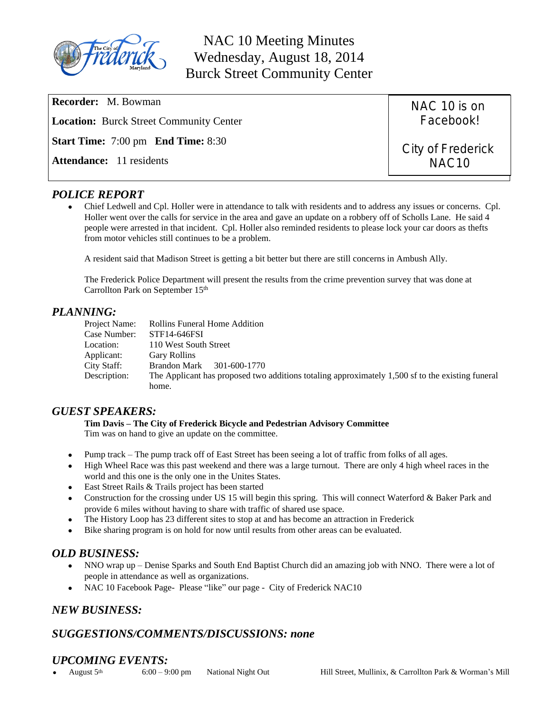

NAC 10 Meeting Minutes Wednesday, August 18, 2014 Burck Street Community Center

**Recorder:** M. Bowman **Location:** Burck Street Community Center **Start Time:** 7:00 pm **End Time:** 8:30 **Attendance:** 11 residents NAC 10 is on Facebook! City of Frederick NAC10

# *POLICE REPORT*

 Chief Ledwell and Cpl. Holler were in attendance to talk with residents and to address any issues or concerns. Cpl. Holler went over the calls for service in the area and gave an update on a robbery off of Scholls Lane. He said 4 people were arrested in that incident. Cpl. Holler also reminded residents to please lock your car doors as thefts from motor vehicles still continues to be a problem.

A resident said that Madison Street is getting a bit better but there are still concerns in Ambush Ally.

The Frederick Police Department will present the results from the crime prevention survey that was done at Carrollton Park on September 15th

# *PLANNING:*

| Project Name: | Rollins Funeral Home Addition                                                                    |
|---------------|--------------------------------------------------------------------------------------------------|
| Case Number:  | STF14-646FSI                                                                                     |
| Location:     | 110 West South Street                                                                            |
| Applicant:    | <b>Gary Rollins</b>                                                                              |
| City Staff:   | 301-600-1770<br><b>Brandon Mark</b>                                                              |
| Description:  | The Applicant has proposed two additions totaling approximately 1,500 sf to the existing funeral |
|               | home.                                                                                            |

## *GUEST SPEAKERS:*

**Tim Davis – The City of Frederick Bicycle and Pedestrian Advisory Committee**

Tim was on hand to give an update on the committee.

- Pump track The pump track off of East Street has been seeing a lot of traffic from folks of all ages.
- High Wheel Race was this past weekend and there was a large turnout. There are only 4 high wheel races in the world and this one is the only one in the Unites States.
- East Street Rails & Trails project has been started
- Construction for the crossing under US 15 will begin this spring. This will connect Waterford & Baker Park and provide 6 miles without having to share with traffic of shared use space.
- The History Loop has 23 different sites to stop at and has become an attraction in Frederick
- Bike sharing program is on hold for now until results from other areas can be evaluated.

## *OLD BUSINESS:*

- NNO wrap up Denise Sparks and South End Baptist Church did an amazing job with NNO. There were a lot of people in attendance as well as organizations.
- NAC 10 Facebook Page- Please "like" our page City of Frederick NAC10

## *NEW BUSINESS:*

## *SUGGESTIONS/COMMENTS/DISCUSSIONS: none*

# *UPCOMING EVENTS:*

August 5th 6:00 – 9:00 pm National Night Out Hill Street, Mullinix, & Carrollton Park & Worman's Mill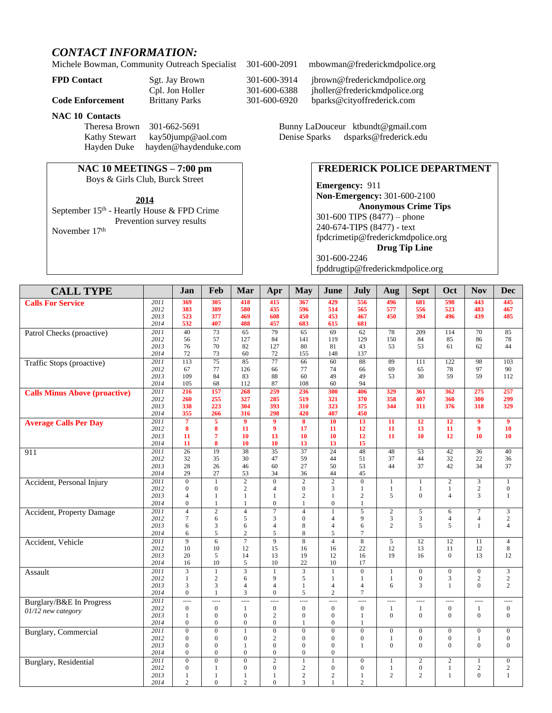# *CONTACT INFORMATION:*

Michele Bowman, Community Outreach Specialist 301-600-2091 mbowman@frederickmdpolice.org

|       | Cpl. Jo |
|-------|---------|
| ∍ment | Rrittan |

#### **NAC 10 Contacts**

Theresa Brown 301-662-5691 Bunny LaDouceur [ktbundt@gmail.com](mailto:ktbun@aol.com) Kathy Stewart [kay50jump@aol.com](mailto:kay50jump@aol.com) Denise Sparks dsparks@frederick.edu Hayden Duke [hayden@haydenduke.com](mailto:hayden@haydenduke.com)

## **NAC 10 MEETINGS – 7:00 pm**

Boys & Girls Club, Burck Street

September 15<sup>th</sup> - Heartly House & FPD Crime Prevention survey results November 17th

**FPD Contact** Sgt. Jay Brown 301-600-3914 jbrown@frederickmdpolice.org Cpl. Jon Holler 301-600-6388 jholler@frederickmdpolice.org **Code Enforcement** Brittany Parks 301-600-6920 [bparks@cityoffrederick.com](mailto:bparks@cityoffrederick.com)

### **FREDERICK POLICE DEPARTMENT**

**Emergency:** 911 **Non-Emergency:** 301-600-2100 **Anonymous Crime Tips** 301-600 TIPS (8477) – phone 240-674-TIPS (8477) - text [fpdcrimetip@frederickmdpolice.org](mailto:fpdcrimetip@frederickmdpolice.org) **Drug Tip Line** 301-600-2246 fpddrugtip@frederickmdpolice.org

| <b>CALL TYPE</b>                     |              | Jan                              | Feb                           | Mar                            | Apr                  | <b>May</b>                         | June                           | July                 | Aug                                      | <b>Sept</b>                    | Oct                      | <b>Nov</b>                               | <b>Dec</b>                     |
|--------------------------------------|--------------|----------------------------------|-------------------------------|--------------------------------|----------------------|------------------------------------|--------------------------------|----------------------|------------------------------------------|--------------------------------|--------------------------|------------------------------------------|--------------------------------|
|                                      |              |                                  |                               |                                |                      |                                    |                                |                      |                                          |                                |                          |                                          |                                |
| <b>Calls For Service</b>             | 2011         | 369                              | 305                           | 418                            | 415                  | 367                                | 429                            | 556                  | 496                                      | 681                            | 598                      | 443                                      | 445                            |
|                                      | 2012<br>2013 | 383<br>523                       | 389<br>377                    | 580<br>469                     | 435<br>608           | 596<br>450                         | 514<br>453                     | 565<br>467           | 577<br>450                               | 556<br>394                     | 523<br>496               | 483<br>439                               | 467<br>485                     |
|                                      | 2014         | 532                              | 407                           | 488                            | 457                  | 683                                | 615                            | 681                  |                                          |                                |                          |                                          |                                |
| Patrol Checks (proactive)            | 2011         | 40                               | 73                            | 65                             | 79                   | 65                                 | 69                             | 62                   | 78                                       | 209                            | 114                      | 70                                       | 85                             |
|                                      | 2012         | 56                               | 57                            | 127                            | 84                   | 141                                | 119                            | 129                  | 150                                      | 84                             | 85                       | 86                                       | 78                             |
|                                      | 2013         | 76                               | 70                            | 82                             | 127                  | 80                                 | 81                             | 43                   | 53                                       | 53                             | 61                       | 62                                       | 44                             |
|                                      | 2014         | 72                               | 73                            | 60                             | 72                   | 155                                | 148                            | 137                  |                                          |                                |                          |                                          |                                |
| Traffic Stops (proactive)            | 2011         | 113                              | $\overline{75}$               | $\overline{85}$                | $\overline{77}$      | 66                                 | 60                             | $\overline{88}$      | 89                                       | 111                            | 122                      | $\overline{98}$                          | 103                            |
|                                      | 2012         | 67                               | 77                            | 126                            | 66                   | 77                                 | 74                             | 66                   | 69                                       | 65                             | 78                       | 97                                       | 90                             |
|                                      | 2013         | 109                              | 84                            | 83                             | 88                   | 60                                 | 49                             | 49                   | 53                                       | 30                             | 59                       | 59                                       | 112                            |
|                                      | 2014         | 105                              | 68                            | 112                            | 87                   | 108                                | 60                             | 94                   |                                          |                                |                          |                                          |                                |
| <b>Calls Minus Above (proactive)</b> | 2011         | 216                              | 157                           | 268                            | 259                  | 236                                | 300                            | 406                  | 329                                      | 361                            | 362                      | 275                                      | 257                            |
|                                      | 2012         | 260                              | 255                           | 327                            | 285                  | 519                                | 321                            | 370                  | 358                                      | 407                            | 360                      | 300                                      | 299                            |
|                                      | 2013<br>2014 | 338<br>355                       | 223<br>266                    | 304<br>316                     | 393<br>298           | 310<br>420                         | 323<br>407                     | 375<br>450           | 344                                      | 311                            | 376                      | 318                                      | 329                            |
|                                      | 2011         | $\overline{7}$                   | $\overline{5}$                | $\overline{9}$                 | 9                    | $\overline{\mathbf{8}}$            | 10                             | 13                   | 11                                       | 12                             | 12                       | $\boldsymbol{9}$                         | $\overline{9}$                 |
| <b>Average Calls Per Day</b>         | 2012         | 8                                | $\bf{8}$                      | 11                             | 9                    | 17                                 | 11                             | 12                   | 11                                       | 13                             | 11                       | $\boldsymbol{9}$                         | 10                             |
|                                      | 2013         | 11                               | $\overline{7}$                | 10                             | 13                   | 10                                 | 10                             | 12                   | 11                                       | 10                             | 12                       | 10                                       | 10                             |
|                                      | 2014         | 11                               | 8                             | 10                             | 10                   | 13                                 | 13                             | 15                   |                                          |                                |                          |                                          |                                |
| 911                                  | 2011         | $\overline{26}$                  | $\overline{19}$               | 38                             | $\overline{35}$      | $\overline{37}$                    | 24                             | 48                   | 48                                       | 53                             | 42                       | 36                                       | 40                             |
|                                      | 2012         | 32                               | 35                            | 30                             | 47                   | 59                                 | 44                             | 51                   | 37                                       | 44                             | 32                       | 22                                       | 36                             |
|                                      | 2013         | 28                               | 26                            | 46                             | 60                   | 27                                 | 50                             | 53                   | 44                                       | 37                             | 42                       | 34                                       | 37                             |
|                                      | 2014         | 29                               | 27                            | 53                             | 34                   | 36                                 | 44                             | 45                   |                                          |                                |                          |                                          |                                |
| Accident, Personal Injury            | 2011         | $\overline{0}$                   | $\mathbf{1}$                  | $\overline{2}$                 | $\overline{0}$       | $\overline{2}$                     | $\overline{2}$                 | $\overline{0}$       | $\mathbf{1}$                             | $\mathbf{1}$                   | $\overline{2}$           | $\overline{\mathbf{3}}$                  | $\mathbf{1}$                   |
|                                      | 2012         | $\Omega$                         | $\theta$                      | $\overline{2}$                 | $\overline{4}$       | $\mathbf{0}$                       | 3                              | $\mathbf{1}$         | -1                                       | $\mathbf{1}$                   | 1                        | $\mathbf{2}$                             | $\overline{0}$                 |
|                                      | 2013         | $\overline{4}$                   | $\mathbf{1}$                  | $\mathbf{1}$                   | $\mathbf{1}$         | $\overline{c}$                     | $\mathbf{1}$                   | $\overline{2}$       | 5                                        | $\overline{0}$                 | $\overline{4}$           | 3                                        | $\mathbf{1}$                   |
|                                      | 2014         | $\mathbf{0}$                     | $\mathbf{1}$                  | $\mathbf{1}$                   | $\overline{0}$       | $\mathbf{1}$                       | $\overline{0}$                 | $\mathbf{1}$         |                                          |                                |                          |                                          |                                |
| Accident, Property Damage            | 2011<br>2012 | $\overline{4}$<br>$\overline{7}$ | $\overline{2}$<br>6           | $\overline{4}$<br>5            | $\overline{7}$<br>3  | $\overline{4}$<br>$\mathbf{0}$     | $\mathbf{1}$<br>$\overline{4}$ | $\overline{5}$<br>9  | $\overline{2}$<br>3                      | 5<br>3                         | 6<br>$\overline{4}$      | $\overline{7}$<br>$\overline{4}$         | $\mathfrak{Z}$<br>$\mathbf{2}$ |
|                                      | 2013         | 6                                | 3                             | 6                              | $\overline{4}$       | 8                                  | $\overline{4}$                 | 6                    | $\overline{c}$                           | 5                              | 5                        | $\mathbf{1}$                             | $\overline{4}$                 |
|                                      | 2014         | 6                                | 5                             | $\overline{c}$                 | 5                    | 8                                  | 5                              | 7                    |                                          |                                |                          |                                          |                                |
| Accident, Vehicle                    | 2011         | 9                                | 6                             | $\overline{7}$                 | 9                    | $\overline{8}$                     | $\overline{4}$                 | 8                    | 5                                        | 12                             | 12                       | 11                                       | $\overline{4}$                 |
|                                      | 2012         | 10                               | 10                            | 12                             | 15                   | 16                                 | 16                             | 22                   | 12                                       | 13                             | 11                       | 12                                       | $\,8\,$                        |
|                                      | 2013         | 20                               | 5                             | 14                             | 13                   | 19                                 | 12                             | 16                   | 19                                       | 16                             | $\Omega$                 | 13                                       | 12                             |
|                                      | 2014         | 16                               | 10                            | 5                              | 10                   | 22                                 | 10                             | 17                   |                                          |                                |                          |                                          |                                |
| Assault                              | 2011         | $\overline{3}$                   | $\mathbf{1}$                  | $\overline{3}$                 |                      | $\overline{3}$                     | $\mathbf{1}$                   | $\overline{0}$       | $\mathbf{1}$                             | $\overline{0}$                 | $\overline{0}$           | $\overline{0}$                           | $\overline{3}$                 |
|                                      | 2012         | $\mathbf{1}$                     | $\overline{2}$                | 6                              | $\mathbf{Q}$         | 5                                  | $\mathbf{1}$                   | $\mathbf{1}$         | $\mathbf{1}$                             | $\boldsymbol{0}$               | 3                        | $\sqrt{2}$                               | $\mathbf{2}$                   |
|                                      | 2013         | 3                                | 3                             | $\overline{4}$                 | $\overline{4}$       | $\mathbf{1}$                       | $\overline{4}$                 | $\overline{4}$       | 6                                        | 3                              | $\mathbf{1}$             | $\theta$                                 | $\overline{2}$                 |
|                                      | 2014         | $\Omega$                         | 1                             | 3                              | $\Omega$             | 5                                  | $\overline{c}$                 | 7                    |                                          |                                |                          |                                          |                                |
| Burglary/B&E In Progress             | 2011<br>2012 | $\overline{a}$<br>$\mathbf{0}$   | $\frac{1}{2}$<br>$\mathbf{0}$ | $\overline{a}$<br>$\mathbf{1}$ | ----<br>$\mathbf{0}$ | $\overline{a}$<br>$\boldsymbol{0}$ | ----<br>$\boldsymbol{0}$       | ----<br>$\mathbf{0}$ | $\overline{\phantom{a}}$<br>$\mathbf{1}$ | $\overline{a}$<br>$\mathbf{1}$ | ----<br>$\boldsymbol{0}$ | $\overline{\phantom{a}}$<br>$\mathbf{1}$ | $\cdots$<br>$\mathbf{0}$       |
| $01/12$ new category                 | 2013         | 1                                | $\mathbf{0}$                  | $\mathbf{0}$                   | $\overline{c}$       | $\boldsymbol{0}$                   | $\overline{0}$                 | 1                    | $\theta$                                 | $\overline{0}$                 | $\overline{0}$           | $\mathbf{0}$                             | $\mathbf{0}$                   |
|                                      | 2014         | $\mathbf{0}$                     | $\mathbf{0}$                  | $\boldsymbol{0}$               | $\overline{0}$       | $\mathbf{1}$                       | $\overline{0}$                 | 1                    |                                          |                                |                          |                                          |                                |
| <b>Burglary</b> , Commercial         | 2011         | $\overline{0}$                   | $\overline{0}$                | $\overline{1}$                 | $\overline{0}$       | $\overline{0}$                     | $\overline{0}$                 | $\overline{0}$       | $\overline{0}$                           | $\overline{0}$                 | $\overline{0}$           | $\overline{0}$                           | $\overline{0}$                 |
|                                      | 2012         | $\mathbf{0}$                     | $\mathbf{0}$                  | $\mathbf{0}$                   | $\overline{c}$       | $\mathbf{0}$                       | $\mathbf{0}$                   | $\boldsymbol{0}$     | $\mathbf{1}$                             | $\boldsymbol{0}$               | $\boldsymbol{0}$         | $\mathbf{1}$                             | $\mathbf{0}$                   |
|                                      | 2013         | $\overline{0}$                   | $\mathbf{0}$                  | $\mathbf{1}$                   | $\mathbf{0}$         | $\mathbf{0}$                       | $\mathbf{0}$                   | $\mathbf{1}$         | $\theta$                                 | $\Omega$                       | $\Omega$                 | $\theta$                                 | $\mathbf{0}$                   |
|                                      | 2014         | $\Omega$                         | $\overline{0}$                | $\mathbf{0}$                   | $\overline{0}$       | $\mathbf{0}$                       | $\overline{0}$                 |                      |                                          |                                |                          |                                          |                                |
| <b>Burglary</b> , Residential        | 2011         | $\overline{0}$                   | $\overline{0}$                | $\overline{0}$                 | $\overline{2}$       | $\overline{1}$                     | $\mathbf{1}$                   | $\overline{0}$       | $\mathbf{1}$                             | $\overline{2}$                 | $\overline{2}$           | $\overline{1}$                           | $\overline{0}$                 |
|                                      | 2012         | $\mathbf{0}$                     | 1                             | $\boldsymbol{0}$               | $\mathbf{0}$         | $\overline{c}$                     | $\boldsymbol{0}$               | $\mathbf{0}$         | $\mathbf{1}$                             | $\boldsymbol{0}$               | $\mathbf{1}$             | 2                                        | $\sqrt{2}$                     |
|                                      | 2013         | 1                                | $\mathbf{1}$                  | $\mathbf{1}$                   | 1                    | $\sqrt{2}$                         | $\mathbf{2}$                   | $\mathbf{1}$         | $\overline{c}$                           | $\overline{c}$                 | $\mathbf{1}$             | $\mathbf{0}$                             | $\mathbf{1}$                   |
|                                      | 2014         | $\overline{2}$                   | $\Omega$                      | $\overline{c}$                 | $\Omega$             | $\overline{3}$                     | $\mathbf{1}$                   | $\overline{2}$       |                                          |                                |                          |                                          |                                |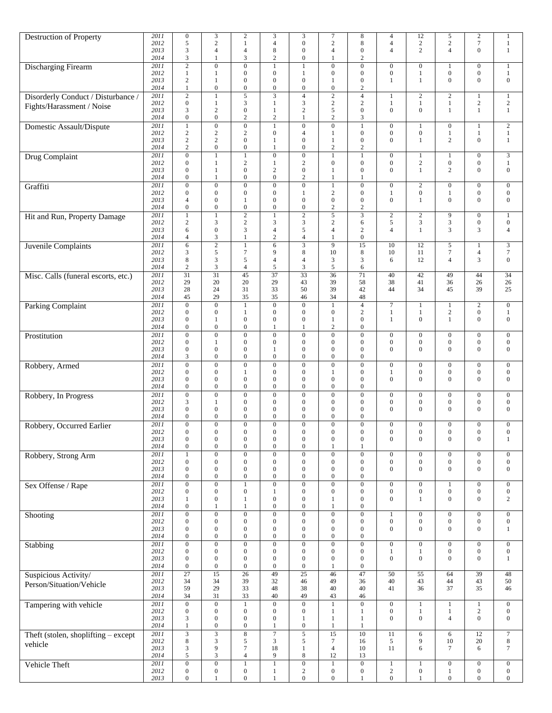|                                     | 2011 | $\boldsymbol{0}$ | 3                | $\boldsymbol{2}$   | 3                | 3                | $\boldsymbol{7}$ | 8                | 4                | 12               | 5                | $\sqrt{2}$       | 1                |
|-------------------------------------|------|------------------|------------------|--------------------|------------------|------------------|------------------|------------------|------------------|------------------|------------------|------------------|------------------|
| Destruction of Property             | 2012 | 5                | $\overline{c}$   | $\mathbf{1}$       | $\overline{4}$   | $\boldsymbol{0}$ | $\mathbf{2}$     | 8                | $\overline{4}$   | $\sqrt{2}$       | $\mathbf{2}$     | $7\phantom{.0}$  | $\mathbf{1}$     |
|                                     | 2013 | 3                | $\overline{4}$   | 4                  | 8                | $\overline{0}$   | $\overline{4}$   | $\mathbf{0}$     | $\overline{4}$   | $\overline{c}$   | $\overline{4}$   | $\mathbf{0}$     | $\mathbf{1}$     |
|                                     |      | 3                | $\mathbf{1}$     | 3                  | $\overline{c}$   | $\boldsymbol{0}$ | 1                | $\overline{2}$   |                  |                  |                  |                  |                  |
|                                     | 2014 |                  |                  |                    |                  |                  |                  |                  |                  |                  |                  |                  |                  |
| Discharging Firearm                 | 2011 | $\overline{2}$   | $\overline{0}$   | $\overline{0}$     | $\mathbf{1}$     | $\mathbf{1}$     | $\overline{0}$   | $\mathbf{0}$     | $\boldsymbol{0}$ | $\boldsymbol{0}$ | 1                | $\boldsymbol{0}$ | 1                |
|                                     | 2012 | $\mathbf{1}$     | $\mathbf{1}$     | $\boldsymbol{0}$   | $\boldsymbol{0}$ | $\mathbf{1}$     | $\boldsymbol{0}$ | $\mathbf{0}$     | $\boldsymbol{0}$ | $\mathbf{1}$     | $\boldsymbol{0}$ | $\boldsymbol{0}$ | $\mathbf{1}$     |
|                                     | 2013 | $\overline{c}$   | 1                | $\overline{0}$     | $\theta$         | $\boldsymbol{0}$ | 1                | $\mathbf{0}$     | $\mathbf{1}$     | $\mathbf{1}$     | $\mathbf{0}$     | $\mathbf{0}$     | $\boldsymbol{0}$ |
|                                     | 2014 | $\mathbf{1}$     | $\mathbf{0}$     | $\boldsymbol{0}$   | $\boldsymbol{0}$ | $\boldsymbol{0}$ | $\boldsymbol{0}$ | $\overline{c}$   |                  |                  |                  |                  |                  |
| Disorderly Conduct / Disturbance /  | 2011 | $\overline{c}$   | $\mathbf{1}$     | $\overline{5}$     | 3                | $\overline{4}$   | $\overline{2}$   | $\overline{4}$   | $\mathbf{1}$     | $\sqrt{2}$       | $\overline{c}$   | $\mathbf{1}$     | $\mathbf{1}$     |
|                                     | 2012 | $\boldsymbol{0}$ | $\mathbf{1}$     | 3                  | 1                | $\mathfrak{Z}$   | $\sqrt{2}$       | $\overline{c}$   | $\mathbf{1}$     | $\mathbf{1}$     | $\mathbf{1}$     | $\sqrt{2}$       | $\sqrt{2}$       |
| Fights/Harassment / Noise           | 2013 | 3                | $\overline{c}$   | $\boldsymbol{0}$   | 1                | $\overline{2}$   | 5                | $\mathbf{0}$     | $\mathbf{0}$     | $\overline{0}$   | $\mathbf{1}$     | 1                | $\mathbf{1}$     |
|                                     | 2014 | $\boldsymbol{0}$ | $\mathbf{0}$     | $\overline{c}$     | $\overline{c}$   | $\mathbf{1}$     | $\mathbf{2}$     | 3                |                  |                  |                  |                  |                  |
|                                     | 2011 | $\mathbf{1}$     | $\mathbf{0}$     | $\overline{0}$     | $\mathbf{1}$     | $\mathbf{0}$     | $\overline{0}$   | $\mathbf{1}$     | $\boldsymbol{0}$ | $\mathbf{1}$     | $\boldsymbol{0}$ | $\mathbf{1}$     | $\overline{2}$   |
| Domestic Assault/Dispute            | 2012 | $\overline{c}$   | 2                | $\mathbf{2}$       | $\overline{0}$   | $\overline{4}$   |                  | $\mathbf{0}$     | $\boldsymbol{0}$ | $\boldsymbol{0}$ |                  |                  |                  |
|                                     |      |                  |                  |                    |                  |                  | $\mathbf{1}$     |                  |                  |                  | 1                | $\mathbf{1}$     | $\,1$            |
|                                     | 2013 | $\overline{c}$   | $\overline{c}$   | $\boldsymbol{0}$   | 1                | $\boldsymbol{0}$ | 1                | $\mathbf{0}$     | $\mathbf{0}$     | $\mathbf{1}$     | $\overline{c}$   | $\boldsymbol{0}$ | $\mathbf{1}$     |
|                                     | 2014 | $\overline{c}$   | $\mathbf{0}$     | $\boldsymbol{0}$   | 1                | $\mathbf{0}$     | $\boldsymbol{2}$ | $\boldsymbol{2}$ |                  |                  |                  |                  |                  |
| Drug Complaint                      | 2011 | $\boldsymbol{0}$ | $\mathbf{1}$     | $\mathbf{1}$       | $\overline{0}$   | $\boldsymbol{0}$ | $\mathbf{1}$     | $\mathbf{1}$     | $\boldsymbol{0}$ | $\mathbf{1}$     | 1                | $\boldsymbol{0}$ | $\mathfrak{Z}$   |
|                                     | 2012 | $\mathbf{0}$     | 1                | $\boldsymbol{2}$   | 1                | $\overline{c}$   | $\boldsymbol{0}$ | $\mathbf{0}$     | $\boldsymbol{0}$ | $\sqrt{2}$       | $\boldsymbol{0}$ | $\boldsymbol{0}$ | $\mathbf{1}$     |
|                                     | 2013 | $\Omega$         | $\mathbf{1}$     | $\boldsymbol{0}$   | $\mathfrak{2}$   | $\boldsymbol{0}$ | $\mathbf{1}$     | $\mathbf{0}$     | $\mathbf{0}$     | $\mathbf{1}$     | 2                | $\mathbf{0}$     | $\boldsymbol{0}$ |
|                                     | 2014 | $\mathbf{0}$     | $\mathbf{1}$     | $\overline{0}$     | $\overline{0}$   | $\overline{2}$   | $\mathbf{1}$     |                  |                  |                  |                  |                  |                  |
| Graffiti                            | 2011 | $\overline{0}$   | $\overline{0}$   | $\overline{0}$     | $\overline{0}$   | $\overline{0}$   | $\mathbf{1}$     | $\overline{0}$   | $\boldsymbol{0}$ | $\overline{2}$   | $\boldsymbol{0}$ | $\boldsymbol{0}$ | $\boldsymbol{0}$ |
|                                     | 2012 | $\boldsymbol{0}$ | $\mathbf{0}$     | $\boldsymbol{0}$   | $\overline{0}$   | -1               | $\mathbf{2}$     | $\mathbf{0}$     | $\mathbf{1}$     | $\boldsymbol{0}$ | 1                | $\boldsymbol{0}$ | $\boldsymbol{0}$ |
|                                     | 2013 | $\overline{4}$   | $\mathbf{0}$     | $\mathbf{1}$       | $\mathbf{0}$     | $\mathbf{0}$     | $\boldsymbol{0}$ | $\boldsymbol{0}$ | $\mathbf{0}$     | $\mathbf{1}$     | $\boldsymbol{0}$ | $\boldsymbol{0}$ | $\boldsymbol{0}$ |
|                                     | 2014 | $\boldsymbol{0}$ | $\mathbf{0}$     | $\boldsymbol{0}$   | $\boldsymbol{0}$ | $\mathbf{0}$     | $\sqrt{2}$       | $\sqrt{2}$       |                  |                  |                  |                  |                  |
|                                     | 2011 | $\mathbf{1}$     | $\mathbf{1}$     | $\overline{2}$     |                  | $\overline{2}$   | 5                | 3                | $\overline{2}$   | $\sqrt{2}$       | 9                | $\boldsymbol{0}$ | $\mathbf{1}$     |
| Hit and Run, Property Damage        |      |                  |                  |                    |                  |                  |                  |                  |                  |                  |                  |                  |                  |
|                                     | 2012 | 2                | 3                | $\mathbf{2}$       | 3                | $\mathfrak{Z}$   | $\mathbf{2}$     | 6                | 5                | 3                | $\mathfrak{Z}$   | $\boldsymbol{0}$ | $\mathbf{0}$     |
|                                     | 2013 | 6                | $\mathbf{0}$     | 3                  | $\overline{4}$   | 5                | $\overline{4}$   | $\overline{c}$   | $\overline{4}$   | $\mathbf{1}$     | 3                | 3                | $\overline{4}$   |
|                                     | 2014 | 4                | $\mathfrak{Z}$   | 1                  | $\mathbf{2}$     | $\overline{4}$   | $\mathbf{1}$     | $\boldsymbol{0}$ |                  |                  |                  |                  |                  |
| <b>Juvenile Complaints</b>          | 2011 | 6                | $\overline{2}$   | $\mathbf{1}$       | 6                | $\overline{3}$   | $\overline{9}$   | 15               | 10               | 12               | 5                | $\mathbf{1}$     | $\overline{3}$   |
|                                     | 2012 | 3                | $\sqrt{5}$       | 7                  | 9                | 8                | 10               | 8                | 10               | 11               | 7                | $\overline{4}$   | $\boldsymbol{7}$ |
|                                     | 2013 | 8                | $\mathfrak{Z}$   | 5                  | $\overline{4}$   | $\overline{4}$   | 3                | 3                | 6                | 12               | $\overline{4}$   | 3                | $\boldsymbol{0}$ |
|                                     | 2014 | $\overline{c}$   | $\mathfrak{Z}$   | 4                  | 5                | $\mathfrak{Z}$   | 5                | 6                |                  |                  |                  |                  |                  |
| Misc. Calls (funeral escorts, etc.) | 2011 | 31               | 31               | 45                 | 37               | 33               | 36               | 71               | 40               | 42               | 49               | 44               | 34               |
|                                     | 2012 | 29               | 20               | 20                 | 29               | 43               | 39               | 58               | 38               | 41               | 36               | 26               | 26               |
|                                     | 2013 | 28               | 24               | 31                 | 33               | 50               | 39               | 42               | 44               | 34               | 45               | 39               | 25               |
|                                     | 2014 | 45               | 29               | 35                 | 35               | 46               | 34               | 48               |                  |                  |                  |                  |                  |
|                                     | 2011 | $\overline{0}$   | $\overline{0}$   | $\overline{1}$     | $\overline{0}$   | $\overline{0}$   | $\overline{1}$   | $\overline{4}$   | $\overline{7}$   | 1                | $\mathbf{1}$     | $\overline{2}$   | $\mathbf{0}$     |
| <b>Parking Complaint</b>            |      |                  |                  |                    |                  |                  |                  |                  |                  |                  |                  |                  |                  |
|                                     | 2012 | $\overline{0}$   | $\mathbf{0}$     | $\mathbf{1}$       | $\overline{0}$   | $\boldsymbol{0}$ | $\boldsymbol{0}$ | $\overline{c}$   | $\mathbf{1}$     | $\mathbf{1}$     | $\sqrt{2}$       | $\boldsymbol{0}$ | $\mathbf{1}$     |
|                                     | 2013 | $\mathbf{0}$     | -1               | $\boldsymbol{0}$   | $\overline{0}$   | $\boldsymbol{0}$ | 1                | $\mathbf{0}$     | -1               | $\boldsymbol{0}$ | $\mathbf{1}$     | $\boldsymbol{0}$ | $\boldsymbol{0}$ |
|                                     | 2014 | $\boldsymbol{0}$ | $\mathbf{0}$     | $\boldsymbol{0}$   | 1                | 1                | $\mathfrak{2}$   | $\boldsymbol{0}$ |                  |                  |                  |                  |                  |
| Prostitution                        | 2011 | $\overline{0}$   | $\mathbf{0}$     | $\overline{0}$     | $\overline{0}$   | $\mathbf{0}$     | $\mathbf{0}$     | $\overline{0}$   | $\boldsymbol{0}$ | $\boldsymbol{0}$ | $\boldsymbol{0}$ | $\mathbf{0}$     | $\boldsymbol{0}$ |
|                                     | 2012 | $\overline{0}$   | 1                | $\boldsymbol{0}$   | $\mathbf{0}$     | $\mathbf{0}$     | $\boldsymbol{0}$ | $\mathbf{0}$     | $\boldsymbol{0}$ | $\boldsymbol{0}$ | $\boldsymbol{0}$ | $\boldsymbol{0}$ | $\boldsymbol{0}$ |
|                                     | 2013 | $\overline{0}$   | $\mathbf{0}$     | $\boldsymbol{0}$   | 1                | $\boldsymbol{0}$ | $\boldsymbol{0}$ | $\mathbf{0}$     | $\mathbf{0}$     | $\mathbf{0}$     | $\mathbf{0}$     | $\boldsymbol{0}$ | $\boldsymbol{0}$ |
|                                     | 2014 | 3                | $\mathbf{0}$     | $\mathbf{0}$       | $\overline{0}$   | $\boldsymbol{0}$ | $\boldsymbol{0}$ | $\mathbf{0}$     |                  |                  |                  |                  |                  |
| Robbery, Armed                      | 2011 | $\overline{0}$   | $\mathbf{0}$     | $\boldsymbol{0}$   | $\boldsymbol{0}$ | $\mathbf{0}$     | $\boldsymbol{0}$ | $\mathbf{0}$     | $\boldsymbol{0}$ | $\boldsymbol{0}$ | $\boldsymbol{0}$ | $\boldsymbol{0}$ | $\boldsymbol{0}$ |
|                                     | 2012 | $\overline{0}$   | $\mathbf{0}$     | 1                  | $\overline{0}$   | $\boldsymbol{0}$ | 1                | $\mathbf{0}$     | $\mathbf{1}$     | $\boldsymbol{0}$ | $\boldsymbol{0}$ | $\boldsymbol{0}$ | $\boldsymbol{0}$ |
|                                     | 2013 | $\boldsymbol{0}$ | $\mathbf{0}$     | $\boldsymbol{0}$   | $\boldsymbol{0}$ | $\boldsymbol{0}$ | $\boldsymbol{0}$ | 0                | $\mathbf{0}$     | $\boldsymbol{0}$ | $\mathbf{0}$     | $\boldsymbol{0}$ | $\boldsymbol{0}$ |
|                                     | 2014 | $\boldsymbol{0}$ | $\mathbf{0}$     | $\boldsymbol{0}$   | $\boldsymbol{0}$ | $\mathbf{0}$     | $\boldsymbol{0}$ | $\boldsymbol{0}$ |                  |                  |                  |                  |                  |
|                                     | 2011 | $\boldsymbol{0}$ | $\mathbf{0}$     | $\boldsymbol{0}$   | $\boldsymbol{0}$ | $\boldsymbol{0}$ | $\overline{0}$   | $\mathbf{0}$     | $\boldsymbol{0}$ | $\boldsymbol{0}$ | $\boldsymbol{0}$ | $\boldsymbol{0}$ | $\boldsymbol{0}$ |
| Robbery, In Progress                |      |                  |                  |                    | $\mathbf{0}$     |                  | $\boldsymbol{0}$ | $\mathbf{0}$     |                  | $\boldsymbol{0}$ |                  |                  |                  |
|                                     | 2012 | 3                | 1                | $\boldsymbol{0}$   |                  | $\boldsymbol{0}$ |                  |                  | $\boldsymbol{0}$ |                  | $\boldsymbol{0}$ | $\mathbf{0}$     | $\boldsymbol{0}$ |
|                                     | 2013 | $\overline{0}$   | $\mathbf{0}$     | $\boldsymbol{0}$   | $\overline{0}$   | $\boldsymbol{0}$ | $\boldsymbol{0}$ | $\mathbf{0}$     | $\mathbf{0}$     | $\mathbf{0}$     | $\mathbf{0}$     | $\mathbf{0}$     | $\boldsymbol{0}$ |
|                                     | 2014 | $\overline{0}$   | $\mathbf{0}$     | $\overline{0}$     | $\mathbf{0}$     | $\boldsymbol{0}$ | $\overline{0}$   | $\mathbf{0}$     |                  |                  |                  |                  |                  |
| Robbery, Occurred Earlier           | 2011 | $\overline{0}$   | $\overline{0}$   | $\overline{0}$     | $\boldsymbol{0}$ | $\boldsymbol{0}$ | $\overline{0}$   | $\boldsymbol{0}$ | $\boldsymbol{0}$ | $\boldsymbol{0}$ | $\boldsymbol{0}$ | $\boldsymbol{0}$ | $\boldsymbol{0}$ |
|                                     | 2012 | $\Omega$         | $\Omega$         | $\boldsymbol{0}$   | $\Omega$         | $\Omega$         | $\Omega$         | $\Omega$         | $\boldsymbol{0}$ | $\boldsymbol{0}$ | $\boldsymbol{0}$ | $\boldsymbol{0}$ | $\boldsymbol{0}$ |
|                                     | 2013 | $\boldsymbol{0}$ | $\boldsymbol{0}$ | $\boldsymbol{0}$   | $\boldsymbol{0}$ | $\boldsymbol{0}$ | $\boldsymbol{0}$ | $\boldsymbol{0}$ | $\boldsymbol{0}$ | $\boldsymbol{0}$ | $\boldsymbol{0}$ | $\boldsymbol{0}$ | $\mathbf{1}$     |
|                                     | 2014 | $\boldsymbol{0}$ | $\boldsymbol{0}$ | $\boldsymbol{0}$   | $\boldsymbol{0}$ | $\boldsymbol{0}$ | $\mathbf{1}$     | 1                |                  |                  |                  |                  |                  |
| Robbery, Strong Arm                 | 2011 | 1                | $\overline{0}$   | $\overline{0}$     | $\overline{0}$   | $\boldsymbol{0}$ | $\overline{0}$   | $\overline{0}$   | $\mathbf{0}$     | $\boldsymbol{0}$ | $\boldsymbol{0}$ | $\boldsymbol{0}$ | $\boldsymbol{0}$ |
|                                     | 2012 | $\boldsymbol{0}$ | $\mathbf{0}$     | $\boldsymbol{0}$   | $\boldsymbol{0}$ | $\mathbf{0}$     | $\boldsymbol{0}$ | $\boldsymbol{0}$ | $\boldsymbol{0}$ | $\boldsymbol{0}$ | $\boldsymbol{0}$ | $\boldsymbol{0}$ | $\mathbf{0}$     |
|                                     | 2013 | $\boldsymbol{0}$ | $\mathbf{0}$     | $\boldsymbol{0}$   | $\overline{0}$   | $\mathbf{0}$     | $\boldsymbol{0}$ | $\boldsymbol{0}$ | $\boldsymbol{0}$ | $\boldsymbol{0}$ | $\mathbf{0}$     | $\boldsymbol{0}$ | $\boldsymbol{0}$ |
|                                     | 2014 | $\boldsymbol{0}$ | $\boldsymbol{0}$ | $\boldsymbol{0}$   | $\boldsymbol{0}$ | $\boldsymbol{0}$ | $\boldsymbol{0}$ | $\boldsymbol{0}$ |                  |                  |                  |                  |                  |
| Sex Offense / Rape                  | 2011 | $\boldsymbol{0}$ | $\overline{0}$   | $\,1$              | $\boldsymbol{0}$ | $\overline{0}$   | $\overline{0}$   | $\boldsymbol{0}$ | $\boldsymbol{0}$ | $\boldsymbol{0}$ |                  | $\boldsymbol{0}$ | $\overline{0}$   |
|                                     | 2012 | $\mathbf{0}$     | $\boldsymbol{0}$ | $\boldsymbol{0}$   | 1                | $\mathbf{0}$     | $\boldsymbol{0}$ | $\mathbf{0}$     | $\boldsymbol{0}$ | $\boldsymbol{0}$ | $\boldsymbol{0}$ | $\boldsymbol{0}$ | $\mathbf{0}$     |
|                                     | 2013 | $\mathbf{1}$     | $\mathbf{0}$     | $\mathbf{1}$       | $\boldsymbol{0}$ | $\mathbf{0}$     | $\mathbf{1}$     | $\overline{0}$   | $\mathbf{0}$     | $\mathbf{1}$     | $\boldsymbol{0}$ | $\boldsymbol{0}$ | $\overline{c}$   |
|                                     | 2014 | $\boldsymbol{0}$ | $\mathbf{1}$     | $\mathbf{1}$       | $\boldsymbol{0}$ | $\boldsymbol{0}$ | $\mathbf{1}$     | $\boldsymbol{0}$ |                  |                  |                  |                  |                  |
|                                     |      |                  |                  |                    |                  |                  |                  |                  |                  |                  |                  |                  |                  |
| Shooting                            | 2011 | $\boldsymbol{0}$ | $\overline{0}$   | $\overline{0}$     | $\overline{0}$   | $\overline{0}$   | $\overline{0}$   | $\boldsymbol{0}$ | $\mathbf{1}$     | $\boldsymbol{0}$ | $\boldsymbol{0}$ | $\boldsymbol{0}$ | $\boldsymbol{0}$ |
|                                     | 2012 | $\boldsymbol{0}$ | $\mathbf{0}$     | $\boldsymbol{0}$   | $\boldsymbol{0}$ | $\mathbf{0}$     | $\boldsymbol{0}$ | $\boldsymbol{0}$ | $\boldsymbol{0}$ | $\boldsymbol{0}$ | $\boldsymbol{0}$ | $\boldsymbol{0}$ | $\mathbf{0}$     |
|                                     | 2013 | $\boldsymbol{0}$ | $\mathbf{0}$     | $\boldsymbol{0}$   | $\mathbf{0}$     | $\mathbf{0}$     | $\boldsymbol{0}$ | $\boldsymbol{0}$ | $\mathbf{0}$     | $\overline{0}$   | $\mathbf{0}$     | $\boldsymbol{0}$ | $\mathbf{1}$     |
|                                     | 2014 | $\boldsymbol{0}$ | $\mathbf{0}$     | $\boldsymbol{0}$   | $\boldsymbol{0}$ | $\boldsymbol{0}$ | $\boldsymbol{0}$ | $\boldsymbol{0}$ |                  |                  |                  |                  |                  |
| Stabbing                            | 2011 | $\boldsymbol{0}$ | $\overline{0}$   | $\overline{0}$     | $\boldsymbol{0}$ | $\overline{0}$   | $\overline{0}$   | $\boldsymbol{0}$ | $\boldsymbol{0}$ | $\boldsymbol{0}$ | $\boldsymbol{0}$ | $\boldsymbol{0}$ | $\boldsymbol{0}$ |
|                                     | 2012 | $\boldsymbol{0}$ | $\mathbf{0}$     | $\boldsymbol{0}$   | $\boldsymbol{0}$ | $\mathbf{0}$     | $\boldsymbol{0}$ | $\boldsymbol{0}$ | $\mathbf{1}$     | $1\,$            | $\boldsymbol{0}$ | $\boldsymbol{0}$ | $\mathbf{0}$     |
|                                     | 2013 | $\boldsymbol{0}$ | $\mathbf{0}$     | $\boldsymbol{0}$   | $\mathbf{0}$     | $\mathbf{0}$     | $\boldsymbol{0}$ | $\boldsymbol{0}$ | $\mathbf{0}$     | $\boldsymbol{0}$ | $\overline{0}$   | $\mathbf{0}$     | $\mathbf{1}$     |
|                                     | 2014 | $\boldsymbol{0}$ | $\mathbf{0}$     | $\boldsymbol{0}$   | $\boldsymbol{0}$ | $\mathbf{0}$     | $\mathbf{1}$     | $\boldsymbol{0}$ |                  |                  |                  |                  |                  |
| Suspicious Activity/                | 2011 | 27               | $\overline{15}$  | $\overline{26}$    | 49               | $\overline{25}$  | 46               | 47               | 50               | 55               | 64               | 39               | 48               |
|                                     | 2012 | 34               | 34               | 39                 | 32               | 46               | 49               | 36               | 40               | 43               | 44               | 43               | 50               |
| Person/Situation/Vehicle            | 2013 | 59               | 29               | 33                 | 48               | 38               | 40               | 40               | 41               | 36               | 37               | 35               | 46               |
|                                     | 2014 | 34               | 31               | 33                 | 40               | 49               | 43               | 46               |                  |                  |                  |                  |                  |
|                                     | 2011 | $\boldsymbol{0}$ | $\boldsymbol{0}$ |                    | $\boldsymbol{0}$ | $\overline{0}$   | $\,1$            | $\overline{0}$   | $\boldsymbol{0}$ |                  | 1                |                  | $\boldsymbol{0}$ |
| Tampering with vehicle              |      |                  |                  | $\mathbf{1}$       |                  |                  |                  |                  |                  | $\mathbf{1}$     |                  | $\mathbf{1}$     |                  |
|                                     | 2012 | $\boldsymbol{0}$ | $\boldsymbol{0}$ | $\boldsymbol{0}$   | $\boldsymbol{0}$ | $\boldsymbol{0}$ | $\mathbf{1}$     | $\mathbf{1}$     | $\boldsymbol{0}$ | $\mathbf{1}$     | $\mathbf{1}$     | $\sqrt{2}$       | $\mathbf{0}$     |
|                                     | 2013 | 3                | $\boldsymbol{0}$ | $\boldsymbol{0}$   | $\overline{0}$   | $\mathbf{1}$     | $\mathbf{1}$     | $\mathbf{1}$     | $\mathbf{0}$     | $\boldsymbol{0}$ | $\overline{4}$   | $\boldsymbol{0}$ | $\boldsymbol{0}$ |
|                                     | 2014 | 1                | $\boldsymbol{0}$ | $\boldsymbol{0}$   | 1                | $\boldsymbol{0}$ | $\,1$            | 1                |                  |                  |                  |                  |                  |
| Theft (stolen, shoplifting - except | 2011 | $\overline{3}$   |                  | $\overline{\bf 8}$ | $\overline{7}$   | $\overline{5}$   | $\overline{15}$  | 10               | 11               | 6                | 6                | 12               | $\boldsymbol{7}$ |
| vehicle                             | 2012 | 8                | $\mathfrak{Z}$   | 5                  | 3                | $\sqrt{5}$       | $\boldsymbol{7}$ | 16               | 5                | 9                | 10               | 20               | $\,8\,$          |
|                                     | 2013 | 3                | 9                | $\tau$             | 18               | $\mathbf{1}$     | $\overline{4}$   | 10               | 11               | 6                | 7                | 6                | $\tau$           |
|                                     | 2014 | 5                | $\mathfrak{Z}$   | $\overline{4}$     | 9                | $\,$ 8 $\,$      | 12               | 13               |                  |                  |                  |                  |                  |
| Vehicle Theft                       | 2011 | $\boldsymbol{0}$ | $\overline{0}$   | $\mathbf 1$        |                  | $\overline{0}$   | $\,1$            | $\overline{0}$   | $\,1$            | $\,1\,$          | $\boldsymbol{0}$ | $\overline{0}$   | $\overline{0}$   |
|                                     | 2012 | $\boldsymbol{0}$ | $\boldsymbol{0}$ | $\boldsymbol{0}$   | 1                | $\overline{2}$   | $\boldsymbol{0}$ | $\boldsymbol{0}$ | $\sqrt{2}$       | $\boldsymbol{0}$ | $\mathbf{1}$     | $\boldsymbol{0}$ | $\mathbf{0}$     |
|                                     | 2013 | $\overline{0}$   | $\mathbf{1}$     | $\boldsymbol{0}$   | 1                | $\mathbf{0}$     | $\boldsymbol{0}$ | $\mathbf{1}$     | $\boldsymbol{0}$ | $\mathbf{1}$     | $\boldsymbol{0}$ | $\mathbf{0}$     | $\boldsymbol{0}$ |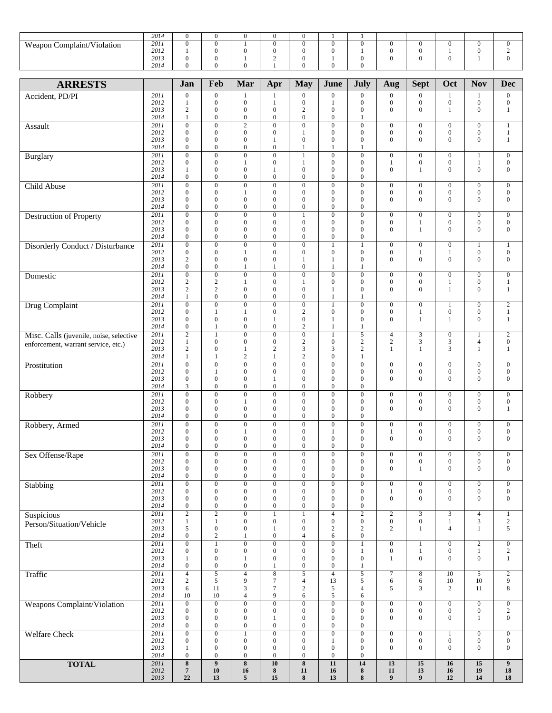|                            | 2014 |  |   | v        |  |  |  |  |
|----------------------------|------|--|---|----------|--|--|--|--|
| Weapon Complaint/Violation | 2011 |  |   | v        |  |  |  |  |
|                            | 2012 |  |   | $\Omega$ |  |  |  |  |
|                            | 2013 |  | - | 0        |  |  |  |  |
|                            | 2014 |  |   | v        |  |  |  |  |

| <b>ARRESTS</b>                          |              | Jan                                | Feb                                  | Mar                                  | Apr                                  | <b>May</b>                           | June                                 | July                             | Aug                                  | <b>Sept</b>                          | Oct                                  | <b>Nov</b>                           | <b>Dec</b>                       |
|-----------------------------------------|--------------|------------------------------------|--------------------------------------|--------------------------------------|--------------------------------------|--------------------------------------|--------------------------------------|----------------------------------|--------------------------------------|--------------------------------------|--------------------------------------|--------------------------------------|----------------------------------|
| Accident, PD/PI                         | 2011         | $\boldsymbol{0}$                   | $\mathbf{0}$                         | 1                                    | 1                                    | $\boldsymbol{0}$                     | $\boldsymbol{0}$                     | $\mathbf{0}$                     | $\boldsymbol{0}$                     | $\boldsymbol{0}$                     | $\mathbf{1}$                         |                                      | $\mathbf{0}$                     |
|                                         | 2012         | 1                                  | $\boldsymbol{0}$                     | $\boldsymbol{0}$                     | 1                                    | $\boldsymbol{0}$                     | $\mathbf{1}$                         | $\mathbf{0}$                     | $\boldsymbol{0}$                     | $\boldsymbol{0}$                     | $\boldsymbol{0}$                     | $\mathbf{0}$                         | $\boldsymbol{0}$                 |
|                                         | 2013         | $\mathfrak{2}$                     | $\boldsymbol{0}$                     | 0                                    | $\mathbf{0}$                         | $\overline{2}$                       | $\boldsymbol{0}$                     | $\mathbf{0}$                     | $\overline{0}$                       | $\mathbf{0}$                         | 1                                    | $\boldsymbol{0}$                     | $\mathbf{1}$                     |
|                                         | 2014<br>2011 | $\mathbf{1}$<br>$\overline{0}$     | $\boldsymbol{0}$<br>$\overline{0}$   | $\boldsymbol{0}$                     | $\overline{0}$<br>$\theta$           | $\boldsymbol{0}$<br>$\overline{0}$   | $\boldsymbol{0}$<br>$\overline{0}$   | 1                                |                                      |                                      |                                      |                                      |                                  |
| Assault                                 | 2012         | $\mathbf{0}$                       | $\boldsymbol{0}$                     | $\overline{2}$<br>$\boldsymbol{0}$   | $\boldsymbol{0}$                     | 1                                    | $\boldsymbol{0}$                     | $\boldsymbol{0}$<br>$\mathbf{0}$ | $\boldsymbol{0}$<br>$\boldsymbol{0}$ | $\boldsymbol{0}$<br>$\boldsymbol{0}$ | $\boldsymbol{0}$<br>$\boldsymbol{0}$ | $\boldsymbol{0}$<br>$\boldsymbol{0}$ | $\mathbf{1}$<br>1                |
|                                         | 2013         | $\mathbf{0}$                       | $\boldsymbol{0}$                     | $\boldsymbol{0}$                     | $\mathbf{1}$                         | $\boldsymbol{0}$                     | $\boldsymbol{0}$                     | $\mathbf{0}$                     | $\mathbf{0}$                         | $\mathbf{0}$                         | $\mathbf{0}$                         | $\boldsymbol{0}$                     | $\mathbf{1}$                     |
|                                         | 2014         | $\boldsymbol{0}$                   | $\boldsymbol{0}$                     | $\bf{0}$                             | $\overline{0}$                       | 1                                    | 1                                    | 1                                |                                      |                                      |                                      |                                      |                                  |
| Burglary                                | 2011         | $\overline{0}$                     | $\overline{0}$                       | $\overline{0}$                       | $\overline{0}$                       | $\mathbf{1}$                         | $\overline{0}$                       | $\mathbf{0}$                     | $\overline{0}$                       | $\mathbf{0}$                         | $\mathbf{0}$                         | $\mathbf{1}$                         | $\mathbf{0}$                     |
|                                         | 2012         | $\boldsymbol{0}$                   | $\boldsymbol{0}$                     | $\mathbf{1}$                         | $\boldsymbol{0}$                     | $\mathbf{1}$                         | $\boldsymbol{0}$                     | $\boldsymbol{0}$                 | $\mathbf{1}$                         | $\boldsymbol{0}$                     | $\boldsymbol{0}$                     | 1                                    | $\boldsymbol{0}$                 |
|                                         | 2013         | 1                                  | $\boldsymbol{0}$                     | $\boldsymbol{0}$                     | 1                                    | $\boldsymbol{0}$                     | $\boldsymbol{0}$                     | $\mathbf{0}$                     | $\overline{0}$                       | $\mathbf{1}$                         | $\mathbf{0}$                         | $\boldsymbol{0}$                     | $\mathbf{0}$                     |
|                                         | 2014<br>2011 | $\boldsymbol{0}$<br>$\overline{0}$ | $\boldsymbol{0}$<br>$\overline{0}$   | $\boldsymbol{0}$<br>$\overline{0}$   | $\boldsymbol{0}$<br>$\overline{0}$   | $\boldsymbol{0}$<br>$\overline{0}$   | $\boldsymbol{0}$<br>$\overline{0}$   | $\boldsymbol{0}$<br>$\mathbf{0}$ | $\overline{0}$                       | $\overline{0}$                       | $\mathbf{0}$                         | $\overline{0}$                       | $\overline{0}$                   |
| Child Abuse                             | 2012         | $\mathbf{0}$                       | $\boldsymbol{0}$                     | 1                                    | $\boldsymbol{0}$                     | $\boldsymbol{0}$                     | $\boldsymbol{0}$                     | $\boldsymbol{0}$                 | $\boldsymbol{0}$                     | $\boldsymbol{0}$                     | $\boldsymbol{0}$                     | $\boldsymbol{0}$                     | $\boldsymbol{0}$                 |
|                                         | 2013         | $\boldsymbol{0}$                   | $\boldsymbol{0}$                     | $\boldsymbol{0}$                     | $\boldsymbol{0}$                     | $\boldsymbol{0}$                     | $\boldsymbol{0}$                     | $\mathbf{0}$                     | $\overline{0}$                       | $\mathbf{0}$                         | $\mathbf{0}$                         | $\boldsymbol{0}$                     | $\mathbf{0}$                     |
|                                         | 2014         | $\boldsymbol{0}$                   | $\boldsymbol{0}$                     | 0                                    | $\overline{0}$                       | $\boldsymbol{0}$                     | $\boldsymbol{0}$                     | $\mathbf{0}$                     |                                      |                                      |                                      |                                      |                                  |
| <b>Destruction of Property</b>          | 2011         | $\overline{0}$                     | $\overline{0}$                       | $\overline{0}$                       | $\overline{0}$                       | $\mathbf{1}$                         | $\overline{0}$                       | $\mathbf{0}$                     | $\overline{0}$                       | $\overline{0}$                       | $\boldsymbol{0}$                     | $\boldsymbol{0}$                     | $\mathbf{0}$                     |
|                                         | 2012         | $\boldsymbol{0}$                   | $\boldsymbol{0}$                     | $\boldsymbol{0}$                     | $\boldsymbol{0}$                     | $\boldsymbol{0}$                     | $\boldsymbol{0}$                     | $\mathbf{0}$                     | $\boldsymbol{0}$                     | $\mathbf{1}$                         | $\boldsymbol{0}$                     | $\boldsymbol{0}$                     | $\boldsymbol{0}$                 |
|                                         | 2013         | $\mathbf{0}$                       | $\boldsymbol{0}$                     | $\boldsymbol{0}$                     | $\theta$                             | $\boldsymbol{0}$                     | $\boldsymbol{0}$                     | $\mathbf{0}$                     | $\overline{0}$                       | $\mathbf{1}$                         | $\mathbf{0}$                         | $\mathbf{0}$                         | $\mathbf{0}$                     |
|                                         | 2014<br>2011 | $\boldsymbol{0}$                   | $\boldsymbol{0}$                     | $\boldsymbol{0}$                     | $\boldsymbol{0}$                     | $\boldsymbol{0}$                     | $\boldsymbol{0}$                     | $\boldsymbol{0}$                 |                                      |                                      |                                      |                                      |                                  |
| Disorderly Conduct / Disturbance        | 2012         | $\overline{0}$<br>$\boldsymbol{0}$ | $\overline{0}$<br>$\boldsymbol{0}$   | $\overline{0}$<br>$\mathbf{1}$       | $\boldsymbol{0}$<br>$\boldsymbol{0}$ | $\overline{0}$<br>$\boldsymbol{0}$   | $\mathbf{1}$<br>$\boldsymbol{0}$     | $\mathbf{1}$<br>$\mathbf{0}$     | $\boldsymbol{0}$<br>$\boldsymbol{0}$ | $\mathbf{0}$<br>$\mathbf{1}$         | $\boldsymbol{0}$<br>$\mathbf{1}$     | $\mathbf{1}$<br>$\boldsymbol{0}$     | $\mathbf{1}$<br>$\boldsymbol{0}$ |
|                                         | 2013         | $\mathfrak{2}$                     | $\boldsymbol{0}$                     | $\boldsymbol{0}$                     | $\theta$                             | 1                                    | $\mathbf{1}$                         | $\mathbf{0}$                     | $\overline{0}$                       | $\boldsymbol{0}$                     | $\mathbf{0}$                         | $\boldsymbol{0}$                     | $\mathbf 0$                      |
|                                         | 2014         | $\overline{0}$                     | $\boldsymbol{0}$                     | 1                                    | 1                                    | $\boldsymbol{0}$                     | 1                                    | $\mathbf{1}$                     |                                      |                                      |                                      |                                      |                                  |
| Domestic                                | 2011         | $\overline{0}$                     | $\overline{0}$                       | $\overline{0}$                       | $\boldsymbol{0}$                     | $\overline{0}$                       | $\overline{0}$                       | $\boldsymbol{0}$                 | $\boldsymbol{0}$                     | $\boldsymbol{0}$                     | $\boldsymbol{0}$                     | $\boldsymbol{0}$                     | $\boldsymbol{0}$                 |
|                                         | 2012         | $\mathbf{2}$                       | $\sqrt{2}$                           | $\mathbf{1}$                         | $\overline{0}$                       | $\mathbf{1}$                         | $\boldsymbol{0}$                     | $\mathbf{0}$                     | $\boldsymbol{0}$                     | $\boldsymbol{0}$                     | $\mathbf{1}$                         | $\boldsymbol{0}$                     | $\mathbf{1}$                     |
|                                         | 2013         | $\overline{c}$                     | $\sqrt{2}$                           | $\boldsymbol{0}$                     | $\mathbf{0}$                         | $\boldsymbol{0}$                     | 1                                    | $\mathbf{0}$                     | $\overline{0}$                       | $\mathbf{0}$                         | $\mathbf{1}$                         | $\boldsymbol{0}$                     | $\mathbf{1}$                     |
|                                         | 2014         | $\mathbf{1}$                       | $\boldsymbol{0}$                     | $\boldsymbol{0}$                     | $\boldsymbol{0}$                     | $\boldsymbol{0}$                     | $\mathbf{1}$                         | 1                                |                                      |                                      |                                      |                                      |                                  |
| Drug Complaint                          | 2011         | $\overline{0}$                     | $\overline{0}$                       | $\boldsymbol{0}$                     | $\overline{0}$                       | $\boldsymbol{0}$                     | $\mathbf{1}$                         | $\mathbf{0}$<br>$\mathbf{0}$     | $\boldsymbol{0}$                     | $\mathbf{0}$                         | $\mathbf{1}$                         | $\boldsymbol{0}$                     | $\overline{c}$                   |
|                                         | 2012<br>2013 | $\mathbf{0}$<br>$\mathbf{0}$       | $\mathbf{1}$<br>$\boldsymbol{0}$     | $\mathbf{1}$<br>$\boldsymbol{0}$     | $\boldsymbol{0}$<br>1                | $\overline{c}$<br>$\boldsymbol{0}$   | $\boldsymbol{0}$<br>$\mathbf{1}$     | $\boldsymbol{0}$                 | $\boldsymbol{0}$<br>$\overline{0}$   | $\mathbf{1}$<br>$\mathbf{1}$         | $\boldsymbol{0}$<br>$\mathbf{1}$     | $\boldsymbol{0}$<br>$\boldsymbol{0}$ | $\mathbf{1}$<br>$\mathbf{1}$     |
|                                         | 2014         | $\overline{0}$                     | $\mathbf{1}$                         | $\mathbf{0}$                         | $\mathbf{0}$                         | $\overline{c}$                       | $\mathbf{1}$                         | $\mathbf{1}$                     |                                      |                                      |                                      |                                      |                                  |
| Misc. Calls (juvenile, noise, selective | 2011         | $\overline{c}$                     | $\mathbf{1}$                         | $\boldsymbol{0}$                     | $\boldsymbol{0}$                     | $\boldsymbol{0}$                     | $\mathbf{1}$                         | 5                                | $\overline{4}$                       | $\mathfrak{Z}$                       | $\boldsymbol{0}$                     | $\mathbf{1}$                         | $\sqrt{2}$                       |
| enforcement, warrant service, etc.)     | 2012         | $\mathbf{1}$                       | $\boldsymbol{0}$                     | $\boldsymbol{0}$                     | $\boldsymbol{0}$                     | $\sqrt{2}$                           | $\boldsymbol{0}$                     | $\sqrt{2}$                       | $\sqrt{2}$                           | $\mathfrak{Z}$                       | $\mathfrak{Z}$                       | $\overline{4}$                       | $\mathbf{0}$                     |
|                                         | 2013         | $\mathfrak{2}$                     | $\boldsymbol{0}$                     | $\mathbf{1}$                         | $\overline{2}$                       | $\mathfrak{Z}$                       | 3                                    | $\overline{c}$                   | $\mathbf{1}$                         | $\mathbf{1}$                         | 3                                    | $\mathbf{1}$                         | $\mathbf{1}$                     |
|                                         | 2014         | $\mathbf{1}$                       | $\mathbf{1}$                         | $\overline{2}$                       | 1                                    | $\overline{c}$                       | $\mathbf{0}$                         | $\mathbf{1}$                     |                                      |                                      |                                      |                                      |                                  |
| Prostitution                            | 2011         | $\boldsymbol{0}$                   | $\overline{0}$                       | $\boldsymbol{0}$                     | $\boldsymbol{0}$                     | $\boldsymbol{0}$                     | $\boldsymbol{0}$                     | $\boldsymbol{0}$                 | $\boldsymbol{0}$                     | $\boldsymbol{0}$                     | $\boldsymbol{0}$                     | $\mathbf{0}$                         | $\boldsymbol{0}$                 |
|                                         | 2012<br>2013 | $\mathbf{0}$<br>$\boldsymbol{0}$   | $\mathbf{1}$<br>$\boldsymbol{0}$     | $\boldsymbol{0}$<br>$\boldsymbol{0}$ | $\boldsymbol{0}$<br>1                | $\boldsymbol{0}$<br>$\boldsymbol{0}$ | $\boldsymbol{0}$<br>$\boldsymbol{0}$ | $\boldsymbol{0}$<br>$\mathbf{0}$ | $\boldsymbol{0}$<br>$\overline{0}$   | $\boldsymbol{0}$<br>$\mathbf{0}$     | $\boldsymbol{0}$<br>$\mathbf{0}$     | $\boldsymbol{0}$<br>$\overline{0}$   | $\boldsymbol{0}$<br>$\mathbf{0}$ |
|                                         | 2014         | 3                                  | $\boldsymbol{0}$                     | $\boldsymbol{0}$                     | $\boldsymbol{0}$                     | $\boldsymbol{0}$                     | $\boldsymbol{0}$                     | $\boldsymbol{0}$                 |                                      |                                      |                                      |                                      |                                  |
| Robbery                                 | 2011         | $\boldsymbol{0}$                   | $\overline{0}$                       | $\boldsymbol{0}$                     | $\mathbf{0}$                         | $\boldsymbol{0}$                     | $\boldsymbol{0}$                     | $\boldsymbol{0}$                 | $\boldsymbol{0}$                     | $\boldsymbol{0}$                     | $\boldsymbol{0}$                     | $\boldsymbol{0}$                     | $\boldsymbol{0}$                 |
|                                         | 2012         | $\mathbf{0}$                       | $\boldsymbol{0}$                     | 1                                    | $\boldsymbol{0}$                     | $\boldsymbol{0}$                     | $\boldsymbol{0}$                     | $\boldsymbol{0}$                 | $\boldsymbol{0}$                     | $\boldsymbol{0}$                     | $\boldsymbol{0}$                     | $\boldsymbol{0}$                     | $\mathbf{0}$                     |
|                                         | 2013         | $\mathbf{0}$                       | $\boldsymbol{0}$                     | $\boldsymbol{0}$                     | $\overline{0}$                       | $\boldsymbol{0}$                     | $\boldsymbol{0}$                     | $\mathbf{0}$                     | $\overline{0}$                       | $\mathbf{0}$                         | $\mathbf{0}$                         | $\boldsymbol{0}$                     | $\mathbf{1}$                     |
|                                         | 2014         | $\boldsymbol{0}$                   | $\boldsymbol{0}$                     | $\boldsymbol{0}$                     | $\boldsymbol{0}$                     | $\boldsymbol{0}$                     | $\boldsymbol{0}$                     | $\mathbf{0}$                     |                                      |                                      |                                      |                                      |                                  |
| Robbery, Armed                          | 2011         | $\overline{0}$                     | $\overline{0}$                       | $\overline{0}$                       | $\overline{0}$                       | $\overline{0}$                       | $\overline{0}$                       | $\overline{0}$                   | $\boldsymbol{0}$                     | $\mathbf{0}$                         | $\boldsymbol{0}$                     | $\boldsymbol{0}$                     | $\boldsymbol{0}$                 |
|                                         | 2012<br>2013 | $\mathbf{0}$<br>$\mathbf{0}$       | $\boldsymbol{0}$<br>$\boldsymbol{0}$ | $\mathbf{1}$<br>$\boldsymbol{0}$     | $\boldsymbol{0}$<br>$\mathbf{0}$     | $\boldsymbol{0}$<br>$\boldsymbol{0}$ | $\mathbf{1}$<br>$\boldsymbol{0}$     | $\mathbf{0}$<br>$\mathbf{0}$     | $\mathbf{1}$<br>$\overline{0}$       | $\mathbf{0}$<br>$\mathbf{0}$         | $\boldsymbol{0}$<br>$\mathbf{0}$     | $\boldsymbol{0}$<br>$\overline{0}$   | $\boldsymbol{0}$<br>$\mathbf{0}$ |
|                                         | 2014         | $\boldsymbol{0}$                   | $\boldsymbol{0}$                     | $\boldsymbol{0}$                     | $\boldsymbol{0}$                     | $\boldsymbol{0}$                     | $\boldsymbol{0}$                     | $\boldsymbol{0}$                 |                                      |                                      |                                      |                                      |                                  |
| Sex Offense/Rape                        | 2011         | $\boldsymbol{0}$                   | $\boldsymbol{0}$                     | $\boldsymbol{0}$                     | $\boldsymbol{0}$                     | $\boldsymbol{0}$                     | $\boldsymbol{0}$                     | $\boldsymbol{0}$                 | $\boldsymbol{0}$                     | $\boldsymbol{0}$                     | $\boldsymbol{0}$                     | $\boldsymbol{0}$                     | $\boldsymbol{0}$                 |
|                                         | 2012         | $\mathbf{0}$                       | $\boldsymbol{0}$                     | 0                                    | $\mathbf{0}$                         | $\boldsymbol{0}$                     | $\boldsymbol{0}$                     | $\mathbf{0}$                     | $\boldsymbol{0}$                     | $\boldsymbol{0}$                     | $\boldsymbol{0}$                     | $\boldsymbol{0}$                     | $\boldsymbol{0}$                 |
|                                         | 2013         | $\overline{0}$                     | $\boldsymbol{0}$                     | $\boldsymbol{0}$                     | $\mathbf{0}$                         | $\boldsymbol{0}$                     | $\boldsymbol{0}$                     | $\mathbf{0}$                     | $\theta$                             | 1                                    | $\mathbf{0}$                         | $\mathbf{0}$                         | $\mathbf{0}$                     |
|                                         | 2014         | $\Omega$                           | $\mathbf{0}$                         | $\overline{0}$                       | $\Omega$                             | $\Omega$                             | $\overline{0}$                       | $\Omega$                         |                                      |                                      |                                      |                                      |                                  |
| Stabbing                                | 2011         | $\mathbf{0}$                       | $\boldsymbol{0}$                     | $\boldsymbol{0}$                     | $\mathbf{0}$                         | $\boldsymbol{0}$                     | $\boldsymbol{0}$                     | $\boldsymbol{0}$                 | $\boldsymbol{0}$                     | $\boldsymbol{0}$                     | $\boldsymbol{0}$                     | $\boldsymbol{0}$                     | $\boldsymbol{0}$                 |
|                                         | 2012<br>2013 | $\boldsymbol{0}$<br>$\overline{0}$ | $\boldsymbol{0}$<br>$\boldsymbol{0}$ | $\boldsymbol{0}$<br>$\boldsymbol{0}$ | $\boldsymbol{0}$<br>$\mathbf{0}$     | $\boldsymbol{0}$<br>$\boldsymbol{0}$ | $\boldsymbol{0}$<br>$\boldsymbol{0}$ | $\boldsymbol{0}$<br>$\mathbf{0}$ | $\mathbf{1}$<br>$\overline{0}$       | $\boldsymbol{0}$<br>$\mathbf{0}$     | $\boldsymbol{0}$<br>$\mathbf{0}$     | $\boldsymbol{0}$<br>$\boldsymbol{0}$ | $\boldsymbol{0}$<br>$\mathbf 0$  |
|                                         | 2014         | $\boldsymbol{0}$                   | $\boldsymbol{0}$                     | $\boldsymbol{0}$                     | $\boldsymbol{0}$                     | $\boldsymbol{0}$                     | $\boldsymbol{0}$                     | $\mathbf{0}$                     |                                      |                                      |                                      |                                      |                                  |
| Suspicious                              | 2011         | $\mathbf{2}$                       | $\overline{2}$                       | $\boldsymbol{0}$                     |                                      | $\mathbf{1}$                         | $\overline{4}$                       | $\sqrt{2}$                       | $\overline{2}$                       | 3                                    | $\mathfrak{Z}$                       | $\overline{4}$                       | $\mathbf{1}$                     |
| Person/Situation/Vehicle                | 2012         | 1                                  | $\mathbf{1}$                         | $\mathbf{0}$                         | $\boldsymbol{0}$                     | $\boldsymbol{0}$                     | $\boldsymbol{0}$                     | $\boldsymbol{0}$                 | $\boldsymbol{0}$                     | $\boldsymbol{0}$                     | $\mathbf{1}$                         | 3                                    | $\mathbf{2}$                     |
|                                         | 2013         | 5                                  | $\boldsymbol{0}$                     | $\boldsymbol{0}$                     | 1                                    | $\boldsymbol{0}$                     | $\sqrt{2}$                           | $\sqrt{2}$                       | $\overline{c}$                       | 1                                    | $\overline{4}$                       | $\mathbf{1}$                         | 5                                |
|                                         | 2014         | $\boldsymbol{0}$                   | $\sqrt{2}$                           | 1                                    | $\boldsymbol{0}$                     | $\overline{4}$                       | 6                                    | $\overline{0}$                   |                                      |                                      |                                      |                                      |                                  |
| Theft                                   | 2011         | $\boldsymbol{0}$                   | $\mathbf{1}$                         | $\overline{0}$                       | $\boldsymbol{0}$                     | $\overline{0}$                       | $\boldsymbol{0}$                     | $\mathbf{1}$                     | $\mathbf{0}$                         | $\mathbf{1}$                         | $\boldsymbol{0}$                     | $\overline{2}$                       | $\boldsymbol{0}$                 |
|                                         | 2012<br>2013 | $\boldsymbol{0}$<br>1              | $\boldsymbol{0}$<br>$\boldsymbol{0}$ | $\mathbf{0}$<br>1                    | $\boldsymbol{0}$<br>$\boldsymbol{0}$ | $\boldsymbol{0}$<br>$\boldsymbol{0}$ | $\boldsymbol{0}$<br>$\mathbf{0}$     | 1<br>$\boldsymbol{0}$            | $\boldsymbol{0}$<br>$\mathbf{1}$     | $\mathbf{1}$<br>$\boldsymbol{0}$     | $\boldsymbol{0}$<br>$\boldsymbol{0}$ | $\mathbf{1}$<br>$\boldsymbol{0}$     | $\sqrt{2}$<br>$\mathbf{1}$       |
|                                         | 2014         | $\boldsymbol{0}$                   | $\boldsymbol{0}$                     | $\boldsymbol{0}$                     | 1                                    | $\boldsymbol{0}$                     | $\boldsymbol{0}$                     | $\mathbf{1}$                     |                                      |                                      |                                      |                                      |                                  |
| Traffic                                 | 2011         | $\overline{4}$                     | $\sqrt{5}$                           | $\overline{4}$                       | $\,$ 8 $\,$                          | $\overline{5}$                       | $\overline{4}$                       | 5                                | $\tau$                               | $\,8\,$                              | 10                                   | $\overline{5}$                       | $\overline{2}$                   |
|                                         | 2012         | 2                                  | $\sqrt{5}$                           | 9                                    | $\tau$                               | $\overline{4}$                       | 13                                   | 5                                | 6                                    | 6                                    | 10                                   | 10                                   | 9                                |
|                                         | 2013         | 6                                  | 11                                   | 3                                    | $\tau$                               | $\sqrt{2}$                           | 5                                    | $\overline{4}$                   | 5                                    | 3                                    | $\overline{c}$                       | 11                                   | 8                                |
|                                         | 2014         | 10                                 | 10                                   | $\overline{4}$                       | 9                                    | 6                                    | $\sqrt{5}$                           | 6                                |                                      |                                      |                                      |                                      |                                  |
| Weapons Complaint/Violation             | 2011         | $\boldsymbol{0}$                   | $\overline{0}$                       | $\overline{0}$                       | $\overline{0}$                       | $\overline{0}$                       | $\overline{0}$                       | $\boldsymbol{0}$                 | $\overline{0}$                       | $\overline{0}$                       | $\boldsymbol{0}$                     | $\overline{0}$                       | $\boldsymbol{0}$                 |
|                                         | 2012<br>2013 | $\mathbf{0}$<br>$\boldsymbol{0}$   | $\boldsymbol{0}$<br>$\boldsymbol{0}$ | $\boldsymbol{0}$<br>$\boldsymbol{0}$ | $\boldsymbol{0}$<br>1                | $\boldsymbol{0}$<br>$\boldsymbol{0}$ | $\mathbf{0}$<br>$\boldsymbol{0}$     | $\boldsymbol{0}$<br>$\mathbf{0}$ | $\boldsymbol{0}$<br>$\overline{0}$   | $\boldsymbol{0}$<br>$\mathbf{0}$     | $\boldsymbol{0}$<br>$\boldsymbol{0}$ | $\boldsymbol{0}$<br>$\mathbf{1}$     | $\overline{c}$<br>$\mathbf{0}$   |
|                                         | 2014         | $\boldsymbol{0}$                   | $\boldsymbol{0}$                     | $\boldsymbol{0}$                     | $\boldsymbol{0}$                     | $\boldsymbol{0}$                     | $\boldsymbol{0}$                     | $\mathbf{0}$                     |                                      |                                      |                                      |                                      |                                  |
| <b>Welfare Check</b>                    | 2011         | $\overline{0}$                     | $\overline{0}$                       | $\mathbf{1}$                         | $\overline{0}$                       | $\overline{0}$                       | $\overline{0}$                       | $\overline{0}$                   | $\overline{0}$                       | $\overline{0}$                       | $\mathbf{1}$                         | $\overline{0}$                       | $\overline{0}$                   |
|                                         | 2012         | $\boldsymbol{0}$                   | $\mathbf{0}$                         | $\boldsymbol{0}$                     | $\boldsymbol{0}$                     | $\boldsymbol{0}$                     | 1                                    | $\boldsymbol{0}$                 | $\boldsymbol{0}$                     | $\boldsymbol{0}$                     | $\boldsymbol{0}$                     | $\boldsymbol{0}$                     | $\boldsymbol{0}$                 |
|                                         | 2013         | 1                                  | $\boldsymbol{0}$                     | $\boldsymbol{0}$                     | $\boldsymbol{0}$                     | $\boldsymbol{0}$                     | $\mathbf{0}$                         | $\overline{0}$                   | $\mathbf{0}$                         | $\overline{0}$                       | $\mathbf{0}$                         | $\mathbf{0}$                         | $\overline{0}$                   |
|                                         | 2014         | $\boldsymbol{0}$                   | $\boldsymbol{0}$                     | $\boldsymbol{0}$                     | $\boldsymbol{0}$                     | $\boldsymbol{0}$                     | $\boldsymbol{0}$                     | $\boldsymbol{0}$                 |                                      |                                      |                                      |                                      |                                  |
| <b>TOTAL</b>                            | 2011         | $\bf 8$                            | $\overline{9}$                       | $\overline{\mathbf{8}}$              | 10                                   | $\overline{\mathbf{8}}$              | $\overline{11}$                      | $\overline{14}$                  | 13                                   | $\overline{15}$                      | 16                                   | $\overline{15}$                      | $\overline{9}$                   |
|                                         | 2012<br>2013 | $\overline{7}$<br>$22\,$           | ${\bf 10}$<br>13                     | 16<br>5                              | 8<br>15                              | $11\,$<br>$\bf{8}$                   | 16<br>13                             | 8<br>8                           | 11<br>9                              | 13<br>9                              | 16<br>12                             | $19$<br>14                           | 18<br>18                         |
|                                         |              |                                    |                                      |                                      |                                      |                                      |                                      |                                  |                                      |                                      |                                      |                                      |                                  |